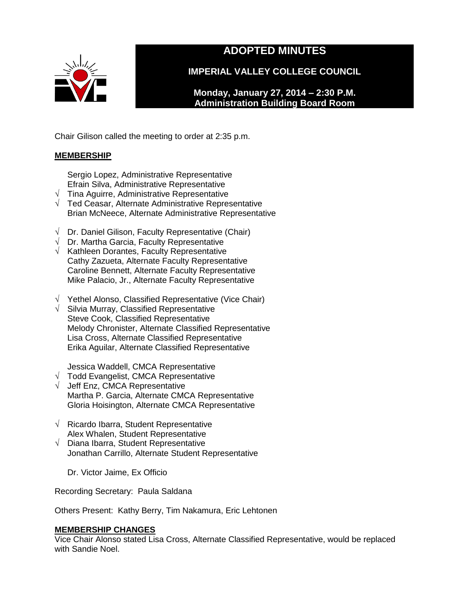

# **ADOPTED MINUTES**

**IMPERIAL VALLEY COLLEGE COUNCIL**

**Monday, January 27, 2014 – 2:30 P.M. Administration Building Board Room** 

Chair Gilison called the meeting to order at 2:35 p.m.

# **MEMBERSHIP**

Sergio Lopez, Administrative Representative Efrain Silva, Administrative Representative

- $\sqrt{\phantom{a}}$  Tina Aguirre, Administrative Representative
- √ Ted Ceasar, Alternate Administrative Representative Brian McNeece, Alternate Administrative Representative
- $\sqrt{ }$  Dr. Daniel Gilison, Faculty Representative (Chair)
- $\sqrt{ }$  Dr. Martha Garcia, Faculty Representative
- $\sqrt{\phantom{a}}$  Kathleen Dorantes, Faculty Representative Cathy Zazueta, Alternate Faculty Representative Caroline Bennett, Alternate Faculty Representative Mike Palacio, Jr., Alternate Faculty Representative
- √ Yethel Alonso, Classified Representative (Vice Chair)
- √ Silvia Murray, Classified Representative Steve Cook, Classified Representative Melody Chronister, Alternate Classified Representative Lisa Cross, Alternate Classified Representative Erika Aguilar, Alternate Classified Representative

Jessica Waddell, CMCA Representative

- √ Todd Evangelist, CMCA Representative
- √ Jeff Enz, CMCA Representative Martha P. Garcia, Alternate CMCA Representative Gloria Hoisington, Alternate CMCA Representative
- √ Ricardo Ibarra, Student Representative Alex Whalen, Student Representative
- $\sqrt{\phantom{a}}$  Diana Ibarra, Student Representative Jonathan Carrillo, Alternate Student Representative

Dr. Victor Jaime, Ex Officio

Recording Secretary: Paula Saldana

Others Present: Kathy Berry, Tim Nakamura, Eric Lehtonen

# **MEMBERSHIP CHANGES**

Vice Chair Alonso stated Lisa Cross, Alternate Classified Representative, would be replaced with Sandie Noel.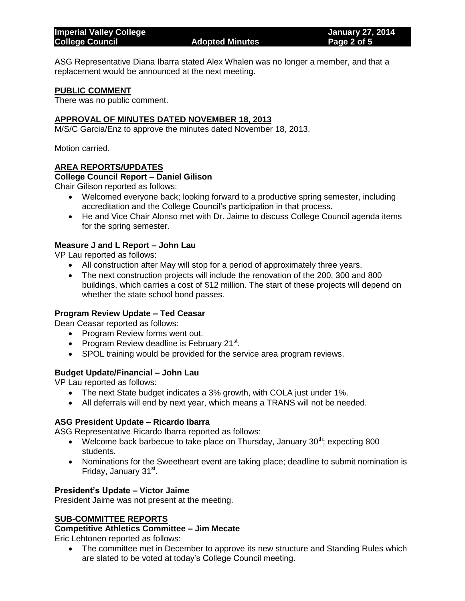ASG Representative Diana Ibarra stated Alex Whalen was no longer a member, and that a replacement would be announced at the next meeting.

# **PUBLIC COMMENT**

There was no public comment.

# **APPROVAL OF MINUTES DATED NOVEMBER 18, 2013**

M/S/C Garcia/Enz to approve the minutes dated November 18, 2013.

Motion carried.

## **AREA REPORTS/UPDATES**

## **College Council Report – Daniel Gilison**

Chair Gilison reported as follows:

- Welcomed everyone back; looking forward to a productive spring semester, including accreditation and the College Council's participation in that process.
- He and Vice Chair Alonso met with Dr. Jaime to discuss College Council agenda items for the spring semester.

# **Measure J and L Report – John Lau**

VP Lau reported as follows:

- All construction after May will stop for a period of approximately three years.
- The next construction projects will include the renovation of the 200, 300 and 800 buildings, which carries a cost of \$12 million. The start of these projects will depend on whether the state school bond passes.

# **Program Review Update – Ted Ceasar**

Dean Ceasar reported as follows:

- Program Review forms went out.
- Program Review deadline is February 21 $^{\rm st}$ .
- SPOL training would be provided for the service area program reviews.

## **Budget Update/Financial – John Lau**

VP Lau reported as follows:

- The next State budget indicates a 3% growth, with COLA just under 1%.
- All deferrals will end by next year, which means a TRANS will not be needed.

## **ASG President Update – Ricardo Ibarra**

ASG Representative Ricardo Ibarra reported as follows:

- Welcome back barbecue to take place on Thursday, January  $30<sup>th</sup>$ ; expecting 800 students.
- Nominations for the Sweetheart event are taking place; deadline to submit nomination is Friday, January 31st.

## **President's Update – Victor Jaime**

President Jaime was not present at the meeting.

# **SUB-COMMITTEE REPORTS**

## **Competitive Athletics Committee – Jim Mecate**

Eric Lehtonen reported as follows:

• The committee met in December to approve its new structure and Standing Rules which are slated to be voted at today's College Council meeting.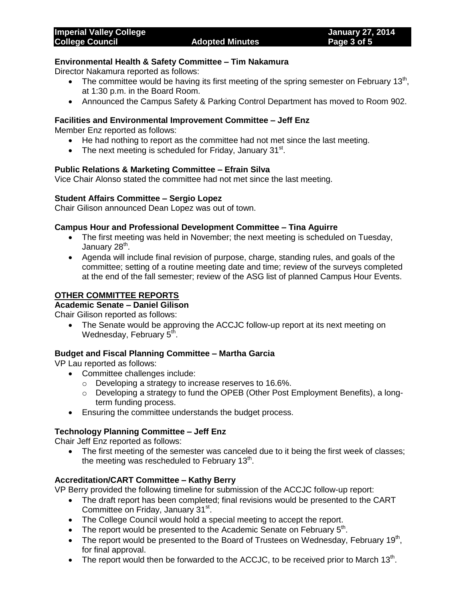# **Environmental Health & Safety Committee – Tim Nakamura**

Director Nakamura reported as follows:

- The committee would be having its first meeting of the spring semester on February 13<sup>th</sup>, at 1:30 p.m. in the Board Room.
- Announced the Campus Safety & Parking Control Department has moved to Room 902.

# **Facilities and Environmental Improvement Committee – Jeff Enz**

Member Enz reported as follows:

- He had nothing to report as the committee had not met since the last meeting.
- The next meeting is scheduled for Friday, January 31 $^{\rm st}$ .

## **Public Relations & Marketing Committee – Efrain Silva**

Vice Chair Alonso stated the committee had not met since the last meeting.

## **Student Affairs Committee – Sergio Lopez**

Chair Gilison announced Dean Lopez was out of town.

# **Campus Hour and Professional Development Committee – Tina Aguirre**

- The first meeting was held in November; the next meeting is scheduled on Tuesday, January 28<sup>th</sup>.
- Agenda will include final revision of purpose, charge, standing rules, and goals of the committee; setting of a routine meeting date and time; review of the surveys completed at the end of the fall semester; review of the ASG list of planned Campus Hour Events.

# **OTHER COMMITTEE REPORTS**

# **Academic Senate – Daniel Gilison**

Chair Gilison reported as follows:

• The Senate would be approving the ACCJC follow-up report at its next meeting on Wednesday, February 5<sup>th</sup>.

## **Budget and Fiscal Planning Committee – Martha Garcia**

VP Lau reported as follows:

- Committee challenges include:
	- o Developing a strategy to increase reserves to 16.6%.
	- $\circ$  Developing a strategy to fund the OPEB (Other Post Employment Benefits), a longterm funding process.
- **Ensuring the committee understands the budget process.**

# **Technology Planning Committee – Jeff Enz**

Chair Jeff Enz reported as follows:

• The first meeting of the semester was canceled due to it being the first week of classes; the meeting was rescheduled to February 13<sup>th</sup>.

# **Accreditation/CART Committee – Kathy Berry**

VP Berry provided the following timeline for submission of the ACCJC follow-up report:

- The draft report has been completed; final revisions would be presented to the CART Committee on Friday, January 31<sup>st</sup>.
- The College Council would hold a special meeting to accept the report.
- $\bullet$  The report would be presented to the Academic Senate on February  $5<sup>th</sup>$ .
- The report would be presented to the Board of Trustees on Wednesday, February 19<sup>th</sup>, for final approval.
- The report would then be forwarded to the ACCJC, to be received prior to March 13<sup>th</sup>.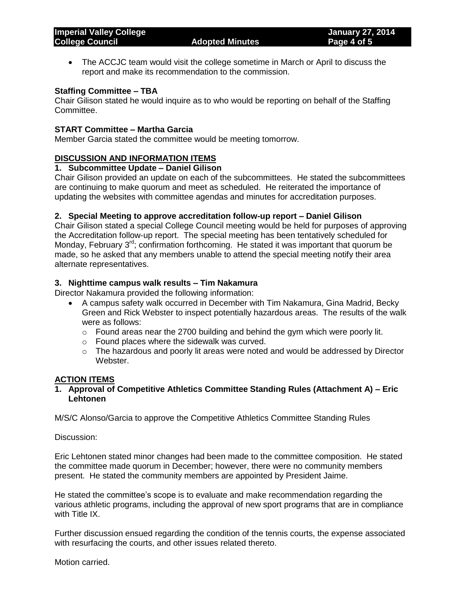The ACCJC team would visit the college sometime in March or April to discuss the report and make its recommendation to the commission.

## **Staffing Committee – TBA**

Chair Gilison stated he would inquire as to who would be reporting on behalf of the Staffing Committee.

# **START Committee – Martha Garcia**

Member Garcia stated the committee would be meeting tomorrow.

## **DISCUSSION AND INFORMATION ITEMS**

# **1. Subcommittee Update – Daniel Gilison**

Chair Gilison provided an update on each of the subcommittees. He stated the subcommittees are continuing to make quorum and meet as scheduled. He reiterated the importance of updating the websites with committee agendas and minutes for accreditation purposes.

## **2. Special Meeting to approve accreditation follow-up report – Daniel Gilison**

Chair Gilison stated a special College Council meeting would be held for purposes of approving the Accreditation follow-up report. The special meeting has been tentatively scheduled for Monday, February  $3^{rd}$ ; confirmation forthcoming. He stated it was important that quorum be made, so he asked that any members unable to attend the special meeting notify their area alternate representatives.

## **3. Nighttime campus walk results – Tim Nakamura**

Director Nakamura provided the following information:

- A campus safety walk occurred in December with Tim Nakamura, Gina Madrid, Becky Green and Rick Webster to inspect potentially hazardous areas. The results of the walk were as follows:
	- $\circ$  Found areas near the 2700 building and behind the gym which were poorly lit.
	- o Found places where the sidewalk was curved.
	- $\circ$  The hazardous and poorly lit areas were noted and would be addressed by Director Webster.

## **ACTION ITEMS**

# **1. Approval of Competitive Athletics Committee Standing Rules (Attachment A) – Eric Lehtonen**

M/S/C Alonso/Garcia to approve the Competitive Athletics Committee Standing Rules

Discussion:

Eric Lehtonen stated minor changes had been made to the committee composition. He stated the committee made quorum in December; however, there were no community members present. He stated the community members are appointed by President Jaime.

He stated the committee's scope is to evaluate and make recommendation regarding the various athletic programs, including the approval of new sport programs that are in compliance with Title IX.

Further discussion ensued regarding the condition of the tennis courts, the expense associated with resurfacing the courts, and other issues related thereto.

Motion carried.